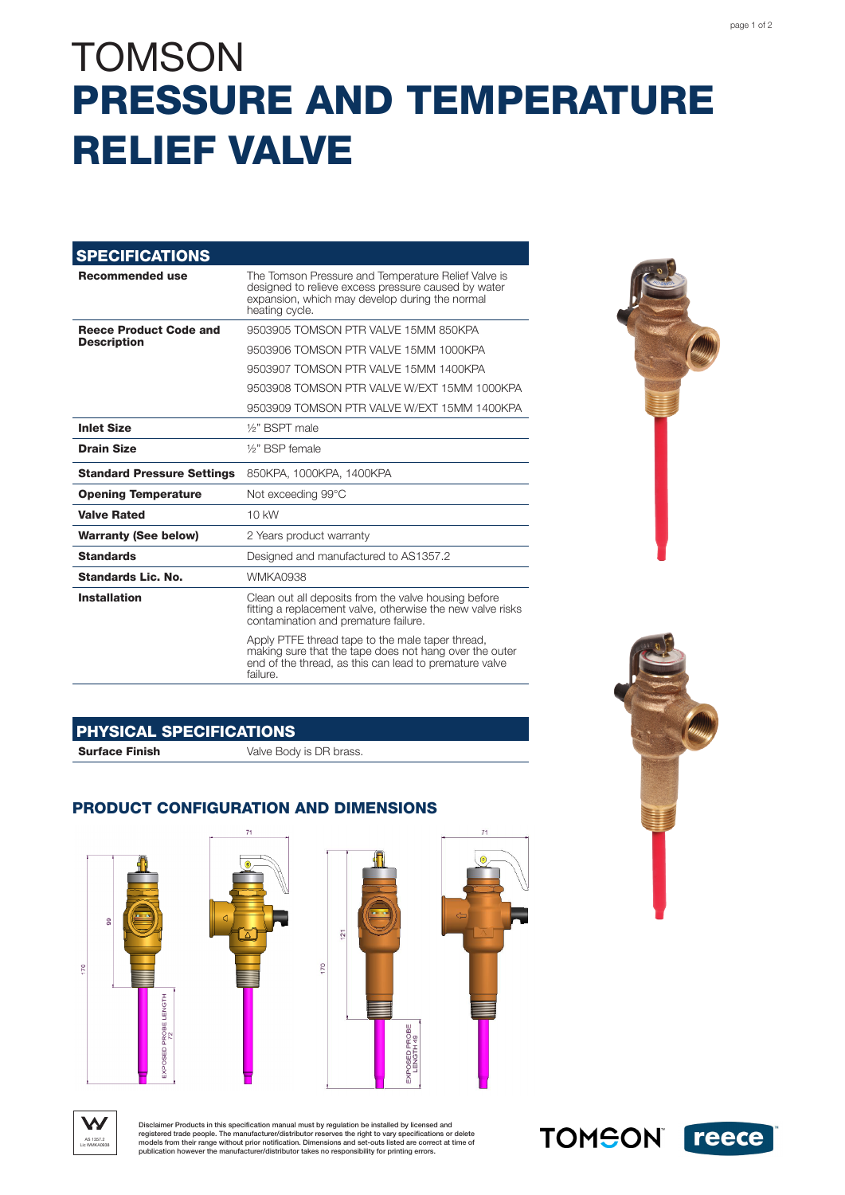# **TOMSON** PRESSURE AND TEMPERATURE RELIEF VALVE

| <b>SPECIFICATIONS</b>                               |                                                                                                                                                                                  |
|-----------------------------------------------------|----------------------------------------------------------------------------------------------------------------------------------------------------------------------------------|
| <b>Recommended use</b>                              | The Tomson Pressure and Temperature Relief Valve is<br>designed to relieve excess pressure caused by water<br>expansion, which may develop during the normal<br>heating cycle.   |
| <b>Reece Product Code and</b><br><b>Description</b> | 9503905 TOMSON PTR VALVE 15MM 850KPA                                                                                                                                             |
|                                                     | 9503906 TOMSON PTR VALVE 15MM 1000KPA                                                                                                                                            |
|                                                     | 9503907 TOMSON PTR VALVE 15MM 1400KPA                                                                                                                                            |
|                                                     | 9503908 TOMSON PTR VALVE W/FXT 15MM 1000KPA                                                                                                                                      |
|                                                     | 9503909 TOMSON PTR VALVE W/FXT 15MM 1400KPA                                                                                                                                      |
| <b>Inlet Size</b>                                   | 1/ <sub>2</sub> " RSPT male                                                                                                                                                      |
| <b>Drain Size</b>                                   | 1/ <sub>2</sub> " BSP female                                                                                                                                                     |
| <b>Standard Pressure Settings</b>                   | 850KPA, 1000KPA, 1400KPA                                                                                                                                                         |
| <b>Opening Temperature</b>                          | Not exceeding 99°C                                                                                                                                                               |
| <b>Valve Rated</b>                                  | $10$ kW                                                                                                                                                                          |
| <b>Warranty (See below)</b>                         | 2 Years product warranty                                                                                                                                                         |
| <b>Standards</b>                                    | Designed and manufactured to AS1357.2                                                                                                                                            |
| Standards Lic. No.                                  | WMKA0938                                                                                                                                                                         |
| <b>Installation</b>                                 | Clean out all deposits from the valve housing before<br>fitting a replacement valve, otherwise the new valve risks<br>contamination and premature failure.                       |
|                                                     | Apply PTFE thread tape to the male taper thread,<br>making sure that the tape does not hang over the outer<br>end of the thread, as this can lead to premature valve<br>failure. |

### PHYSICAL SPECIFICATIONS

**Surface Finish** Valve Body is DR brass.

### PRODUCT CONFIGURATION AND DIMENSIONS









Disclaimer Products in this specification manual must by regulation be installed by licensed and<br>registered trade people. The manufacturer/distributor reserves the right to vary specifications or delete<br>models from their r

**TOMSON** reece